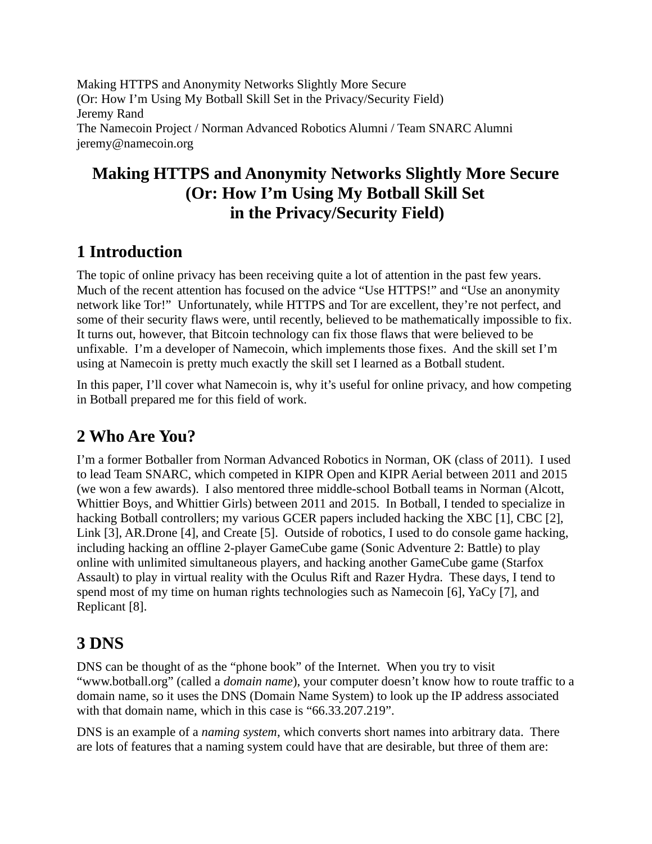Making HTTPS and Anonymity Networks Slightly More Secure (Or: How I'm Using My Botball Skill Set in the Privacy/Security Field) Jeremy Rand The Namecoin Project / Norman Advanced Robotics Alumni / Team SNARC Alumni jeremy@namecoin.org

## **Making HTTPS and Anonymity Networks Slightly More Secure (Or: How I'm Using My Botball Skill Set in the Privacy/Security Field)**

### **1 Introduction**

The topic of online privacy has been receiving quite a lot of attention in the past few years. Much of the recent attention has focused on the advice "Use HTTPS!" and "Use an anonymity network like Tor!" Unfortunately, while HTTPS and Tor are excellent, they're not perfect, and some of their security flaws were, until recently, believed to be mathematically impossible to fix. It turns out, however, that Bitcoin technology can fix those flaws that were believed to be unfixable. I'm a developer of Namecoin, which implements those fixes. And the skill set I'm using at Namecoin is pretty much exactly the skill set I learned as a Botball student.

In this paper, I'll cover what Namecoin is, why it's useful for online privacy, and how competing in Botball prepared me for this field of work.

## **2 Who Are You?**

I'm a former Botballer from Norman Advanced Robotics in Norman, OK (class of 2011). I used to lead Team SNARC, which competed in KIPR Open and KIPR Aerial between 2011 and 2015 (we won a few awards). I also mentored three middle-school Botball teams in Norman (Alcott, Whittier Boys, and Whittier Girls) between 2011 and 2015. In Botball, I tended to specialize in hacking Botball controllers; my various GCER papers included hacking the XBC [1], CBC [2], Link [3], AR.Drone [4], and Create [5]. Outside of robotics, I used to do console game hacking, including hacking an offline 2-player GameCube game (Sonic Adventure 2: Battle) to play online with unlimited simultaneous players, and hacking another GameCube game (Starfox Assault) to play in virtual reality with the Oculus Rift and Razer Hydra. These days, I tend to spend most of my time on human rights technologies such as Namecoin [6], YaCy [7], and Replicant [8].

#### **3 DNS**

DNS can be thought of as the "phone book" of the Internet. When you try to visit "www.botball.org" (called a *domain name*), your computer doesn't know how to route traffic to a domain name, so it uses the DNS (Domain Name System) to look up the IP address associated with that domain name, which in this case is "66.33.207.219".

DNS is an example of a *naming system*, which converts short names into arbitrary data. There are lots of features that a naming system could have that are desirable, but three of them are: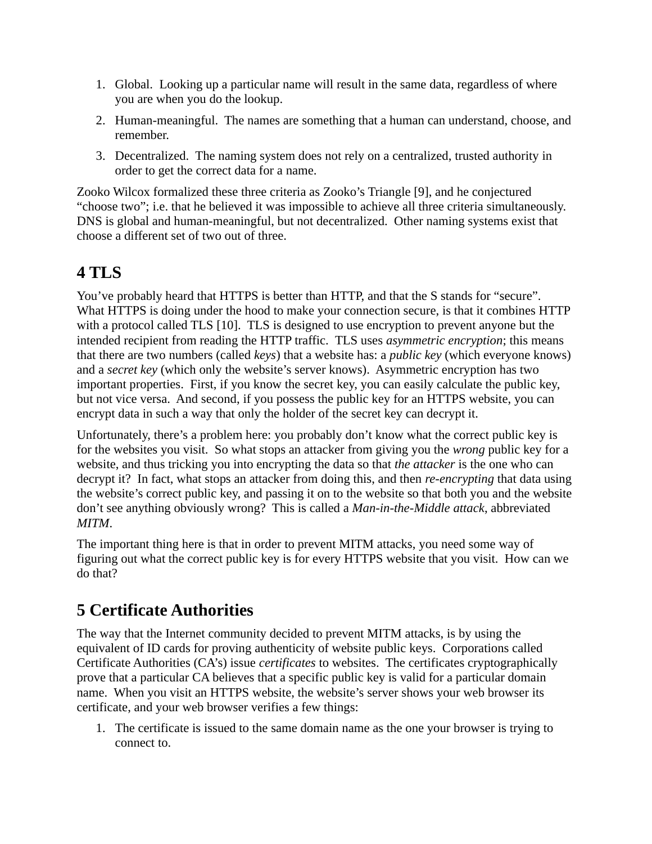- 1. Global. Looking up a particular name will result in the same data, regardless of where you are when you do the lookup.
- 2. Human-meaningful. The names are something that a human can understand, choose, and remember.
- 3. Decentralized. The naming system does not rely on a centralized, trusted authority in order to get the correct data for a name.

Zooko Wilcox formalized these three criteria as Zooko's Triangle [9], and he conjectured "choose two"; i.e. that he believed it was impossible to achieve all three criteria simultaneously. DNS is global and human-meaningful, but not decentralized. Other naming systems exist that choose a different set of two out of three.

### **4 TLS**

You've probably heard that HTTPS is better than HTTP, and that the S stands for "secure". What HTTPS is doing under the hood to make your connection secure, is that it combines HTTP with a protocol called TLS [10]. TLS is designed to use encryption to prevent anyone but the intended recipient from reading the HTTP traffic. TLS uses *asymmetric encryption*; this means that there are two numbers (called *keys*) that a website has: a *public key* (which everyone knows) and a *secret key* (which only the website's server knows). Asymmetric encryption has two important properties. First, if you know the secret key, you can easily calculate the public key, but not vice versa. And second, if you possess the public key for an HTTPS website, you can encrypt data in such a way that only the holder of the secret key can decrypt it.

Unfortunately, there's a problem here: you probably don't know what the correct public key is for the websites you visit. So what stops an attacker from giving you the *wrong* public key for a website, and thus tricking you into encrypting the data so that *the attacker* is the one who can decrypt it? In fact, what stops an attacker from doing this, and then *re-encrypting* that data using the website's correct public key, and passing it on to the website so that both you and the website don't see anything obviously wrong? This is called a *Man-in-the-Middle attack*, abbreviated *MITM*.

The important thing here is that in order to prevent MITM attacks, you need some way of figuring out what the correct public key is for every HTTPS website that you visit. How can we do that?

# **5 Certificate Authorities**

The way that the Internet community decided to prevent MITM attacks, is by using the equivalent of ID cards for proving authenticity of website public keys. Corporations called Certificate Authorities (CA's) issue *certificates* to websites. The certificates cryptographically prove that a particular CA believes that a specific public key is valid for a particular domain name. When you visit an HTTPS website, the website's server shows your web browser its certificate, and your web browser verifies a few things:

1. The certificate is issued to the same domain name as the one your browser is trying to connect to.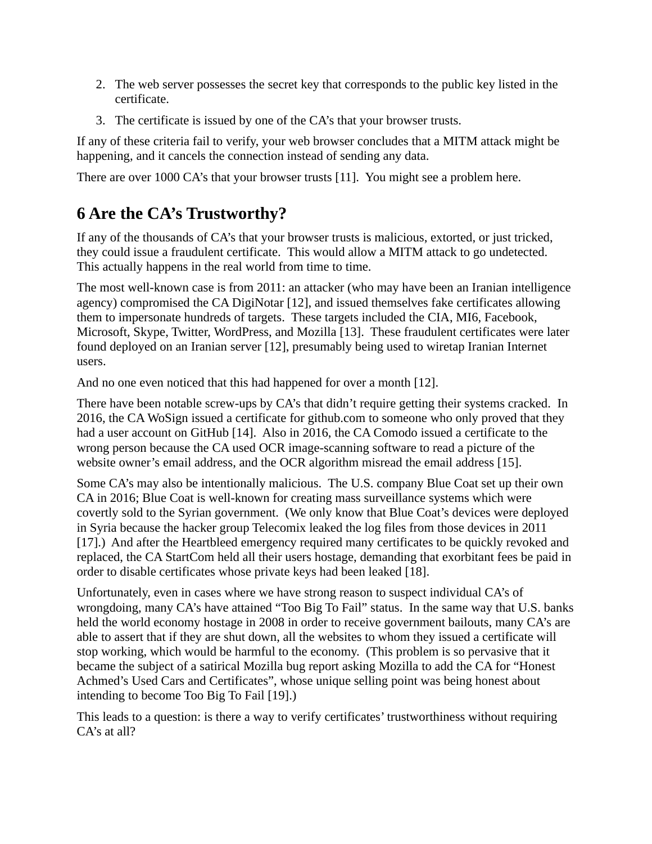- 2. The web server possesses the secret key that corresponds to the public key listed in the certificate.
- 3. The certificate is issued by one of the CA's that your browser trusts.

If any of these criteria fail to verify, your web browser concludes that a MITM attack might be happening, and it cancels the connection instead of sending any data.

There are over 1000 CA's that your browser trusts [11]. You might see a problem here.

# **6 Are the CA's Trustworthy?**

If any of the thousands of CA's that your browser trusts is malicious, extorted, or just tricked, they could issue a fraudulent certificate. This would allow a MITM attack to go undetected. This actually happens in the real world from time to time.

The most well-known case is from 2011: an attacker (who may have been an Iranian intelligence agency) compromised the CA DigiNotar [12], and issued themselves fake certificates allowing them to impersonate hundreds of targets. These targets included the CIA, MI6, Facebook, Microsoft, Skype, Twitter, WordPress, and Mozilla [13]. These fraudulent certificates were later found deployed on an Iranian server [12], presumably being used to wiretap Iranian Internet users.

And no one even noticed that this had happened for over a month [12].

There have been notable screw-ups by CA's that didn't require getting their systems cracked. In 2016, the CA WoSign issued a certificate for github.com to someone who only proved that they had a user account on GitHub [14]. Also in 2016, the CA Comodo issued a certificate to the wrong person because the CA used OCR image-scanning software to read a picture of the website owner's email address, and the OCR algorithm misread the email address [15].

Some CA's may also be intentionally malicious. The U.S. company Blue Coat set up their own CA in 2016; Blue Coat is well-known for creating mass surveillance systems which were covertly sold to the Syrian government. (We only know that Blue Coat's devices were deployed in Syria because the hacker group Telecomix leaked the log files from those devices in 2011 [17].) And after the Heartbleed emergency required many certificates to be quickly revoked and replaced, the CA StartCom held all their users hostage, demanding that exorbitant fees be paid in order to disable certificates whose private keys had been leaked [18].

Unfortunately, even in cases where we have strong reason to suspect individual CA's of wrongdoing, many CA's have attained "Too Big To Fail" status. In the same way that U.S. banks held the world economy hostage in 2008 in order to receive government bailouts, many CA's are able to assert that if they are shut down, all the websites to whom they issued a certificate will stop working, which would be harmful to the economy. (This problem is so pervasive that it became the subject of a satirical Mozilla bug report asking Mozilla to add the CA for "Honest Achmed's Used Cars and Certificates", whose unique selling point was being honest about intending to become Too Big To Fail [19].)

This leads to a question: is there a way to verify certificates' trustworthiness without requiring CA's at all?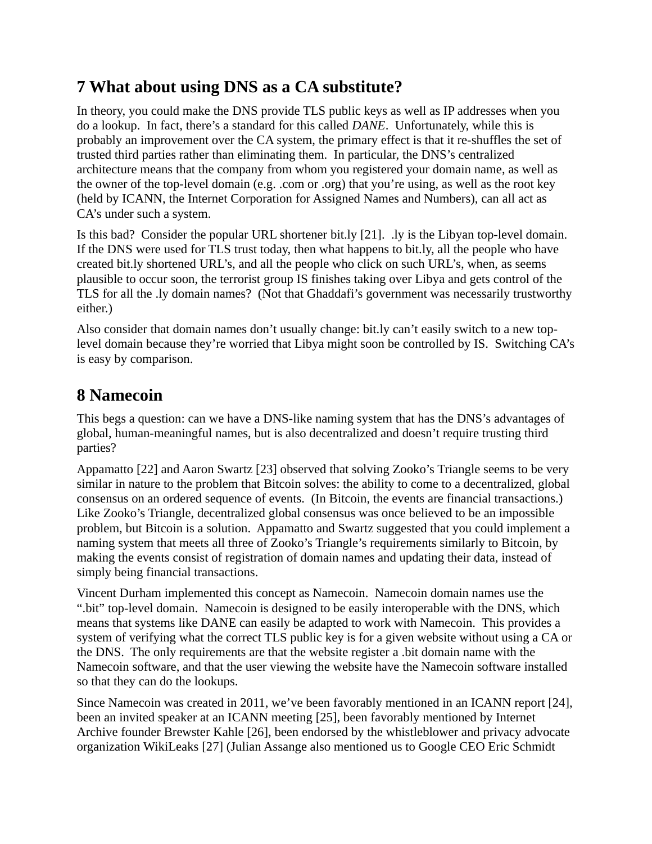### **7 What about using DNS as a CA substitute?**

In theory, you could make the DNS provide TLS public keys as well as IP addresses when you do a lookup. In fact, there's a standard for this called *DANE*. Unfortunately, while this is probably an improvement over the CA system, the primary effect is that it re-shuffles the set of trusted third parties rather than eliminating them. In particular, the DNS's centralized architecture means that the company from whom you registered your domain name, as well as the owner of the top-level domain (e.g. .com or .org) that you're using, as well as the root key (held by ICANN, the Internet Corporation for Assigned Names and Numbers), can all act as CA's under such a system.

Is this bad? Consider the popular URL shortener bit.ly [21]. .ly is the Libyan top-level domain. If the DNS were used for TLS trust today, then what happens to bit.ly, all the people who have created bit.ly shortened URL's, and all the people who click on such URL's, when, as seems plausible to occur soon, the terrorist group IS finishes taking over Libya and gets control of the TLS for all the .ly domain names? (Not that Ghaddafi's government was necessarily trustworthy either.)

Also consider that domain names don't usually change: bit.ly can't easily switch to a new toplevel domain because they're worried that Libya might soon be controlled by IS. Switching CA's is easy by comparison.

#### **8 Namecoin**

This begs a question: can we have a DNS-like naming system that has the DNS's advantages of global, human-meaningful names, but is also decentralized and doesn't require trusting third parties?

Appamatto [22] and Aaron Swartz [23] observed that solving Zooko's Triangle seems to be very similar in nature to the problem that Bitcoin solves: the ability to come to a decentralized, global consensus on an ordered sequence of events. (In Bitcoin, the events are financial transactions.) Like Zooko's Triangle, decentralized global consensus was once believed to be an impossible problem, but Bitcoin is a solution. Appamatto and Swartz suggested that you could implement a naming system that meets all three of Zooko's Triangle's requirements similarly to Bitcoin, by making the events consist of registration of domain names and updating their data, instead of simply being financial transactions.

Vincent Durham implemented this concept as Namecoin. Namecoin domain names use the ".bit" top-level domain. Namecoin is designed to be easily interoperable with the DNS, which means that systems like DANE can easily be adapted to work with Namecoin. This provides a system of verifying what the correct TLS public key is for a given website without using a CA or the DNS. The only requirements are that the website register a .bit domain name with the Namecoin software, and that the user viewing the website have the Namecoin software installed so that they can do the lookups.

Since Namecoin was created in 2011, we've been favorably mentioned in an ICANN report [24], been an invited speaker at an ICANN meeting [25], been favorably mentioned by Internet Archive founder Brewster Kahle [26], been endorsed by the whistleblower and privacy advocate organization WikiLeaks [27] (Julian Assange also mentioned us to Google CEO Eric Schmidt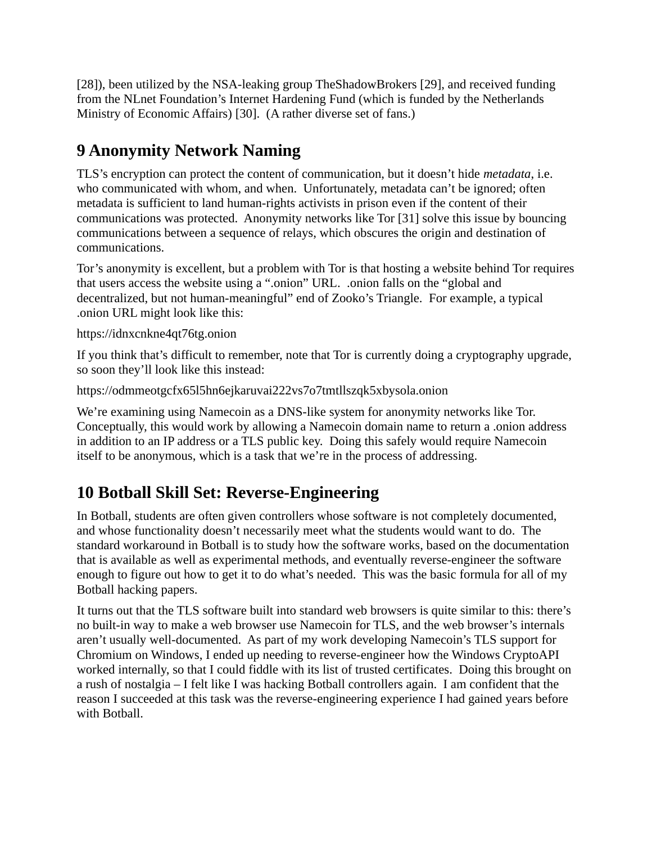[28]), been utilized by the NSA-leaking group TheShadowBrokers [29], and received funding from the NLnet Foundation's Internet Hardening Fund (which is funded by the Netherlands Ministry of Economic Affairs) [30]. (A rather diverse set of fans.)

# **9 Anonymity Network Naming**

TLS's encryption can protect the content of communication, but it doesn't hide *metadata*, i.e. who communicated with whom, and when. Unfortunately, metadata can't be ignored; often metadata is sufficient to land human-rights activists in prison even if the content of their communications was protected. Anonymity networks like Tor [31] solve this issue by bouncing communications between a sequence of relays, which obscures the origin and destination of communications.

Tor's anonymity is excellent, but a problem with Tor is that hosting a website behind Tor requires that users access the website using a ".onion" URL. .onion falls on the "global and decentralized, but not human-meaningful" end of Zooko's Triangle. For example, a typical .onion URL might look like this:

https://idnxcnkne4qt76tg.onion

If you think that's difficult to remember, note that Tor is currently doing a cryptography upgrade, so soon they'll look like this instead:

https://odmmeotgcfx65l5hn6ejkaruvai222vs7o7tmtllszqk5xbysola.onion

We're examining using Namecoin as a DNS-like system for anonymity networks like Tor. Conceptually, this would work by allowing a Namecoin domain name to return a .onion address in addition to an IP address or a TLS public key. Doing this safely would require Namecoin itself to be anonymous, which is a task that we're in the process of addressing.

# **10 Botball Skill Set: Reverse-Engineering**

In Botball, students are often given controllers whose software is not completely documented, and whose functionality doesn't necessarily meet what the students would want to do. The standard workaround in Botball is to study how the software works, based on the documentation that is available as well as experimental methods, and eventually reverse-engineer the software enough to figure out how to get it to do what's needed. This was the basic formula for all of my Botball hacking papers.

It turns out that the TLS software built into standard web browsers is quite similar to this: there's no built-in way to make a web browser use Namecoin for TLS, and the web browser's internals aren't usually well-documented. As part of my work developing Namecoin's TLS support for Chromium on Windows, I ended up needing to reverse-engineer how the Windows CryptoAPI worked internally, so that I could fiddle with its list of trusted certificates. Doing this brought on a rush of nostalgia – I felt like I was hacking Botball controllers again. I am confident that the reason I succeeded at this task was the reverse-engineering experience I had gained years before with Botball.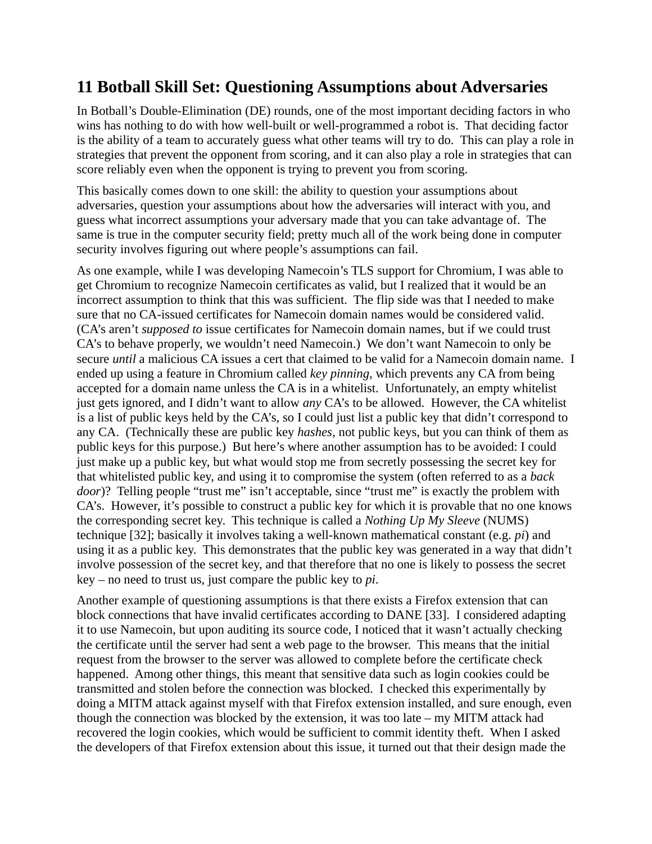### **11 Botball Skill Set: Questioning Assumptions about Adversaries**

In Botball's Double-Elimination (DE) rounds, one of the most important deciding factors in who wins has nothing to do with how well-built or well-programmed a robot is. That deciding factor is the ability of a team to accurately guess what other teams will try to do. This can play a role in strategies that prevent the opponent from scoring, and it can also play a role in strategies that can score reliably even when the opponent is trying to prevent you from scoring.

This basically comes down to one skill: the ability to question your assumptions about adversaries, question your assumptions about how the adversaries will interact with you, and guess what incorrect assumptions your adversary made that you can take advantage of. The same is true in the computer security field; pretty much all of the work being done in computer security involves figuring out where people's assumptions can fail.

As one example, while I was developing Namecoin's TLS support for Chromium, I was able to get Chromium to recognize Namecoin certificates as valid, but I realized that it would be an incorrect assumption to think that this was sufficient. The flip side was that I needed to make sure that no CA-issued certificates for Namecoin domain names would be considered valid. (CA's aren't *supposed to* issue certificates for Namecoin domain names, but if we could trust CA's to behave properly, we wouldn't need Namecoin.) We don't want Namecoin to only be secure *until* a malicious CA issues a cert that claimed to be valid for a Namecoin domain name. I ended up using a feature in Chromium called *key pinning*, which prevents any CA from being accepted for a domain name unless the CA is in a whitelist. Unfortunately, an empty whitelist just gets ignored, and I didn't want to allow *any* CA's to be allowed. However, the CA whitelist is a list of public keys held by the CA's, so I could just list a public key that didn't correspond to any CA. (Technically these are public key *hashes*, not public keys, but you can think of them as public keys for this purpose.) But here's where another assumption has to be avoided: I could just make up a public key, but what would stop me from secretly possessing the secret key for that whitelisted public key, and using it to compromise the system (often referred to as a *back door*)? Telling people "trust me" isn't acceptable, since "trust me" is exactly the problem with CA's. However, it's possible to construct a public key for which it is provable that no one knows the corresponding secret key. This technique is called a *Nothing Up My Sleeve* (NUMS) technique [32]; basically it involves taking a well-known mathematical constant (e.g. *pi*) and using it as a public key. This demonstrates that the public key was generated in a way that didn't involve possession of the secret key, and that therefore that no one is likely to possess the secret key – no need to trust us, just compare the public key to *pi*.

Another example of questioning assumptions is that there exists a Firefox extension that can block connections that have invalid certificates according to DANE [33]. I considered adapting it to use Namecoin, but upon auditing its source code, I noticed that it wasn't actually checking the certificate until the server had sent a web page to the browser. This means that the initial request from the browser to the server was allowed to complete before the certificate check happened. Among other things, this meant that sensitive data such as login cookies could be transmitted and stolen before the connection was blocked. I checked this experimentally by doing a MITM attack against myself with that Firefox extension installed, and sure enough, even though the connection was blocked by the extension, it was too late – my MITM attack had recovered the login cookies, which would be sufficient to commit identity theft. When I asked the developers of that Firefox extension about this issue, it turned out that their design made the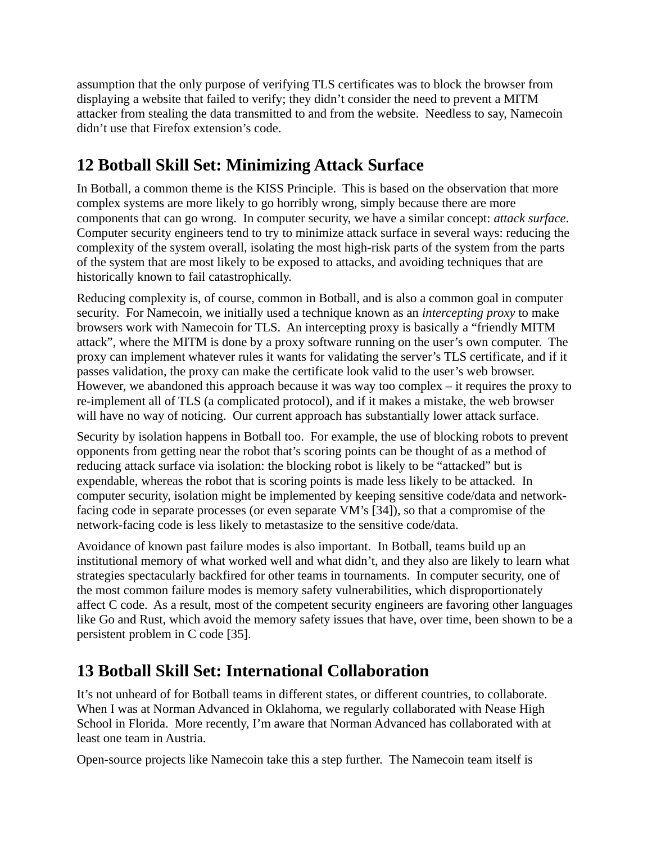assumption that the only purpose of verifying TLS certificates was to block the browser from displaying a website that failed to verify; they didn't consider the need to prevent a MITM attacker from stealing the data transmitted to and from the website. Needless to say, Namecoin didn't use that Firefox extension's code.

# **12 Botball Skill Set: Minimizing Attack Surface**

In Botball, a common theme is the KISS Principle. This is based on the observation that more complex systems are more likely to go horribly wrong, simply because there are more components that can go wrong. In computer security, we have a similar concept: *attack surface*. Computer security engineers tend to try to minimize attack surface in several ways: reducing the complexity of the system overall, isolating the most high-risk parts of the system from the parts of the system that are most likely to be exposed to attacks, and avoiding techniques that are historically known to fail catastrophically.

Reducing complexity is, of course, common in Botball, and is also a common goal in computer security. For Namecoin, we initially used a technique known as an *intercepting proxy* to make browsers work with Namecoin for TLS. An intercepting proxy is basically a "friendly MITM attack", where the MITM is done by a proxy software running on the user's own computer. The proxy can implement whatever rules it wants for validating the server's TLS certificate, and if it passes validation, the proxy can make the certificate look valid to the user's web browser. However, we abandoned this approach because it was way too complex – it requires the proxy to re-implement all of TLS (a complicated protocol), and if it makes a mistake, the web browser will have no way of noticing. Our current approach has substantially lower attack surface.

Security by isolation happens in Botball too. For example, the use of blocking robots to prevent opponents from getting near the robot that's scoring points can be thought of as a method of reducing attack surface via isolation: the blocking robot is likely to be "attacked" but is expendable, whereas the robot that is scoring points is made less likely to be attacked. In computer security, isolation might be implemented by keeping sensitive code/data and networkfacing code in separate processes (or even separate VM's [34]), so that a compromise of the network-facing code is less likely to metastasize to the sensitive code/data.

Avoidance of known past failure modes is also important. In Botball, teams build up an institutional memory of what worked well and what didn't, and they also are likely to learn what strategies spectacularly backfired for other teams in tournaments. In computer security, one of the most common failure modes is memory safety vulnerabilities, which disproportionately affect C code. As a result, most of the competent security engineers are favoring other languages like Go and Rust, which avoid the memory safety issues that have, over time, been shown to be a persistent problem in C code [35].

## **13 Botball Skill Set: International Collaboration**

It's not unheard of for Botball teams in different states, or different countries, to collaborate. When I was at Norman Advanced in Oklahoma, we regularly collaborated with Nease High School in Florida. More recently, I'm aware that Norman Advanced has collaborated with at least one team in Austria.

Open-source projects like Namecoin take this a step further. The Namecoin team itself is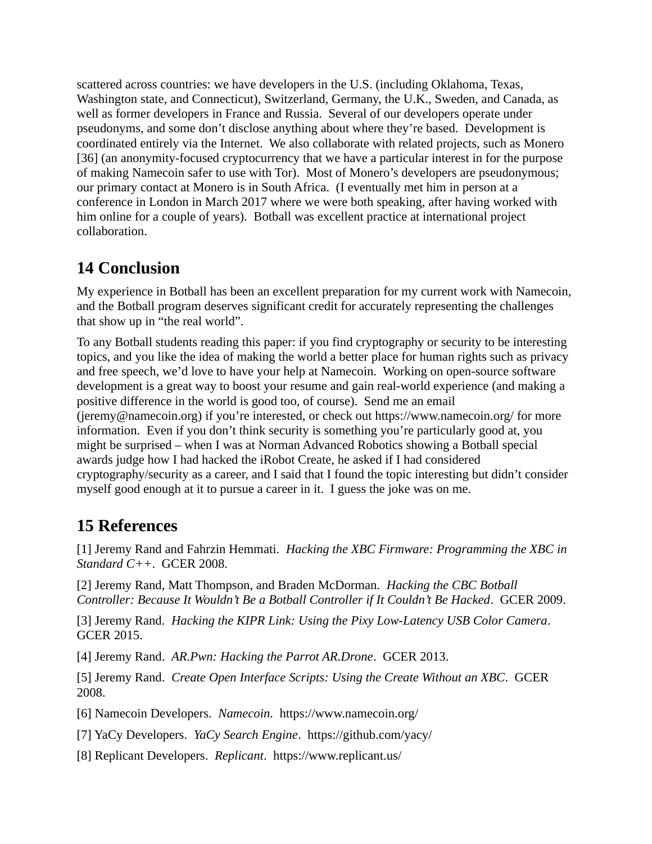scattered across countries: we have developers in the U.S. (including Oklahoma, Texas, Washington state, and Connecticut), Switzerland, Germany, the U.K., Sweden, and Canada, as well as former developers in France and Russia. Several of our developers operate under pseudonyms, and some don't disclose anything about where they're based. Development is coordinated entirely via the Internet. We also collaborate with related projects, such as Monero [36] (an anonymity-focused cryptocurrency that we have a particular interest in for the purpose of making Namecoin safer to use with Tor). Most of Monero's developers are pseudonymous; our primary contact at Monero is in South Africa. (I eventually met him in person at a conference in London in March 2017 where we were both speaking, after having worked with him online for a couple of years). Botball was excellent practice at international project collaboration.

# **14 Conclusion**

My experience in Botball has been an excellent preparation for my current work with Namecoin, and the Botball program deserves significant credit for accurately representing the challenges that show up in "the real world".

To any Botball students reading this paper: if you find cryptography or security to be interesting topics, and you like the idea of making the world a better place for human rights such as privacy and free speech, we'd love to have your help at Namecoin. Working on open-source software development is a great way to boost your resume and gain real-world experience (and making a positive difference in the world is good too, of course). Send me an email (jeremy@namecoin.org) if you're interested, or check out https://www.namecoin.org/ for more information. Even if you don't think security is something you're particularly good at, you might be surprised – when I was at Norman Advanced Robotics showing a Botball special awards judge how I had hacked the iRobot Create, he asked if I had considered cryptography/security as a career, and I said that I found the topic interesting but didn't consider myself good enough at it to pursue a career in it. I guess the joke was on me.

# **15 References**

[1] Jeremy Rand and Fahrzin Hemmati. *Hacking the XBC Firmware: Programming the XBC in Standard C++*. GCER 2008.

[2] Jeremy Rand, Matt Thompson, and Braden McDorman. *Hacking the CBC Botball Controller: Because It Wouldn't Be a Botball Controller if It Couldn't Be Hacked*. GCER 2009.

[3] Jeremy Rand. *Hacking the KIPR Link: Using the Pixy Low-Latency USB Color Camera*. GCER 2015.

[4] Jeremy Rand. *AR.Pwn: Hacking the Parrot AR.Drone*. GCER 2013.

[5] Jeremy Rand. *Create Open Interface Scripts: Using the Create Without an XBC*. GCER 2008.

[6] Namecoin Developers. *Namecoin*. https://www.namecoin.org/

[7] YaCy Developers. *YaCy Search Engine*. https://github.com/yacy/

[8] Replicant Developers. *Replicant*. https://www.replicant.us/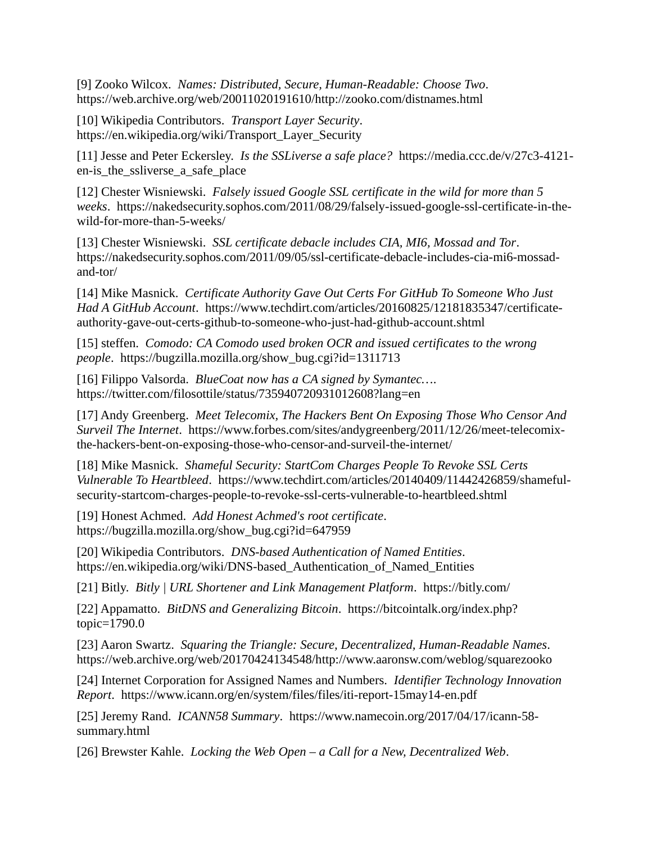[9] Zooko Wilcox. *Names: Distributed, Secure, Human-Readable: Choose Two*. https://web.archive.org/web/20011020191610/http://zooko.com/distnames.html

[10] Wikipedia Contributors. *Transport Layer Security*. https://en.wikipedia.org/wiki/Transport\_Layer\_Security

[11] Jesse and Peter Eckersley. *Is the SSLiverse a safe place?* https://media.ccc.de/v/27c3-4121 en-is the ssliverse a safe place

[12] Chester Wisniewski. *Falsely issued Google SSL certificate in the wild for more than 5 weeks*. https://nakedsecurity.sophos.com/2011/08/29/falsely-issued-google-ssl-certificate-in-thewild-for-more-than-5-weeks/

[13] Chester Wisniewski. *SSL certificate debacle includes CIA, MI6, Mossad and Tor*. https://nakedsecurity.sophos.com/2011/09/05/ssl-certificate-debacle-includes-cia-mi6-mossadand-tor/

[14] Mike Masnick. *Certificate Authority Gave Out Certs For GitHub To Someone Who Just Had A GitHub Account*. https://www.techdirt.com/articles/20160825/12181835347/certificateauthority-gave-out-certs-github-to-someone-who-just-had-github-account.shtml

[15] steffen. *Comodo: CA Comodo used broken OCR and issued certificates to the wrong people*. https://bugzilla.mozilla.org/show\_bug.cgi?id=1311713

[16] Filippo Valsorda. *BlueCoat now has a CA signed by Symantec…*. https://twitter.com/filosottile/status/735940720931012608?lang=en

[17] Andy Greenberg. *Meet Telecomix, The Hackers Bent On Exposing Those Who Censor And Surveil The Internet*. https://www.forbes.com/sites/andygreenberg/2011/12/26/meet-telecomixthe-hackers-bent-on-exposing-those-who-censor-and-surveil-the-internet/

[18] Mike Masnick. *Shameful Security: StartCom Charges People To Revoke SSL Certs Vulnerable To Heartbleed*. https://www.techdirt.com/articles/20140409/11442426859/shamefulsecurity-startcom-charges-people-to-revoke-ssl-certs-vulnerable-to-heartbleed.shtml

[19] Honest Achmed. *Add Honest Achmed's root certificate*. https://bugzilla.mozilla.org/show\_bug.cgi?id=647959

[20] Wikipedia Contributors. *DNS-based Authentication of Named Entities*. https://en.wikipedia.org/wiki/DNS-based\_Authentication\_of\_Named\_Entities

[21] Bitly. *Bitly | URL Shortener and Link Management Platform*. https://bitly.com/

[22] Appamatto. *BitDNS and Generalizing Bitcoin*. https://bitcointalk.org/index.php? topic=1790.0

[23] Aaron Swartz. *Squaring the Triangle: Secure, Decentralized, Human-Readable Names*. https://web.archive.org/web/20170424134548/http://www.aaronsw.com/weblog/squarezooko

[24] Internet Corporation for Assigned Names and Numbers. *Identifier Technology Innovation Report*. https://www.icann.org/en/system/files/files/iti-report-15may14-en.pdf

[25] Jeremy Rand. *ICANN58 Summary*. https://www.namecoin.org/2017/04/17/icann-58 summary.html

[26] Brewster Kahle. *Locking the Web Open – a Call for a New, Decentralized Web*.